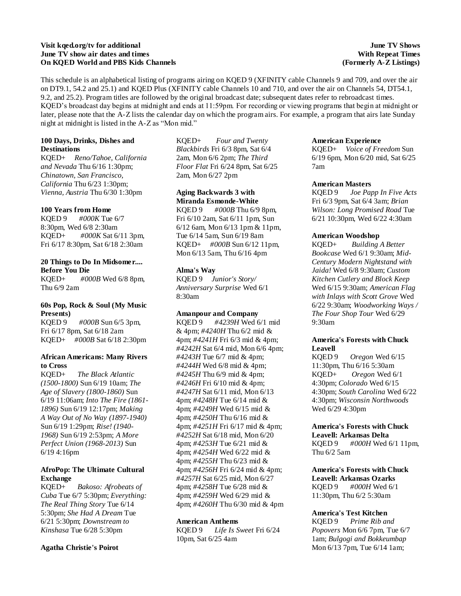# **Visit kqed.org/tv for additional June TV show air dates and times On KQED World and PBS Kids Channels**

## **June TV Shows With Repeat Times (Formerly A-Z Listings)**

This schedule is an alphabetical listing of programs airing on KQED 9 (XFINITY cable Channels 9 and 709, and over the air on DT9.1, 54.2 and 25.1) and KQED Plus (XFINITY cable Channels 10 and 710, and over the air on Channels 54, DT54.1, 9.2, and 25.2). Program titles are followed by the original broadcast date; subsequent dates refer to rebroadcast times. KQED's broadcast day begins at midnight and ends at 11:59pm. For recording or viewing programs that begin at midnight or later, please note that the A-Z lists the calendar day on which the program airs. For example, a program that airs late Sunday night at midnight is listed in the A-Z as "Mon mid."

# **100 Days, Drinks, Dishes and Destinations**

KQED+ *Reno/Tahoe, California and Nevada* Thu 6/16 1:30pm; *Chinatown, San Francisco, California* Thu 6/23 1:30pm; *Vienna, Austria* Thu 6/30 1:30pm

# **100 Years from Home**

KQED 9 *#000K* Tue 6/7 8:30pm, Wed 6/8 2:30am KQED+ *#000K* Sat 6/11 3pm, Fri 6/17 8:30pm, Sat 6/18 2:30am

# **20 Things to Do In Midsomer.... Before You Die**

KQED+ *#000B* Wed 6/8 8pm, Thu 6/9 2am

# **60s Pop, Rock & Soul (My Music Presents)**

KQED 9 *#000B* Sun 6/5 3pm, Fri 6/17 8pm, Sat 6/18 2am KQED+ *#000B* Sat 6/18 2:30pm

# **African Americans: Many Rivers to Cross**

KQED+ *The Black Atlantic (1500-1800)* Sun 6/19 10am; *The Age of Slavery (1800-1860)* Sun 6/19 11:06am; *Into The Fire (1861- 1896)* Sun 6/19 12:17pm; *Making A Way Out of No Way (1897-1940)* Sun 6/19 1:29pm; *Rise! (1940- 1968)* Sun 6/19 2:53pm; *A More Perfect Union (1968-2013)* Sun 6/19 4:16pm

# **AfroPop: The Ultimate Cultural Exchange**

KQED+ *Bakoso: Afrobeats of Cuba* Tue 6/7 5:30pm; *Everything: The Real Thing Story* Tue 6/14 5:30pm; *She Had A Dream* Tue 6/21 5:30pm; *Downstream to Kinshasa* Tue 6/28 5:30pm

# **Agatha Christie's Poirot**

KQED+ *Four and Twenty Blackbirds* Fri 6/3 8pm, Sat 6/4 2am, Mon 6/6 2pm; *The Third Floor Flat* Fri 6/24 8pm, Sat 6/25 2am, Mon 6/27 2pm

# **Aging Backwards 3 with Miranda Esmonde-White**

KQED 9 *#000B* Thu 6/9 8pm, Fri 6/10 2am, Sat 6/11 1pm, Sun 6/12 6am, Mon 6/13 1pm & 11pm, Tue 6/14 5am, Sun 6/19 8am KQED+ *#000B* Sun 6/12 11pm, Mon 6/13 5am, Thu 6/16 4pm

# **Alma's Way**

KQED 9 *Junior's Story/ Anniversary Surprise* Wed 6/1 8:30am

# **Amanpour and Company**

KQED 9 *#4239H* Wed 6/1 mid & 4pm; *#4240H* Thu 6/2 mid & 4pm; *#4241H* Fri 6/3 mid & 4pm; *#4242H* Sat 6/4 mid, Mon 6/6 4pm; *#4243H* Tue 6/7 mid & 4pm; *#4244H* Wed 6/8 mid & 4pm; *#4245H* Thu 6/9 mid & 4pm; *#4246H* Fri 6/10 mid & 4pm; *#4247H* Sat 6/11 mid, Mon 6/13 4pm; *#4248H* Tue 6/14 mid & 4pm; *#4249H* Wed 6/15 mid & 4pm; *#4250H* Thu 6/16 mid & 4pm; *#4251H* Fri 6/17 mid & 4pm; *#4252H* Sat 6/18 mid, Mon 6/20 4pm; *#4253H* Tue 6/21 mid & 4pm; *#4254H* Wed 6/22 mid & 4pm; *#4255H* Thu 6/23 mid & 4pm; *#4256H* Fri 6/24 mid & 4pm; *#4257H* Sat 6/25 mid, Mon 6/27 4pm; *#4258H* Tue 6/28 mid & 4pm; *#4259H* Wed 6/29 mid & 4pm; *#4260H* Thu 6/30 mid & 4pm

### **American Anthems**

KQED 9 *Life Is Sweet* Fri 6/24 10pm, Sat 6/25 4am

# **American Experience**

KQED+ *Voice of Freedom* Sun 6/19 6pm, Mon 6/20 mid, Sat 6/25 7am

# **American Masters**

KQED 9 *Joe Papp In Five Acts* Fri 6/3 9pm, Sat 6/4 3am; *Brian Wilson: Long Promised Road* Tue 6/21 10:30pm, Wed 6/22 4:30am

# **American Woodshop**

KQED+ *Building A Better Bookcase* Wed 6/1 9:30am; *Mid-Century Modern Nightstand with Jaida!* Wed 6/8 9:30am; *Custom Kitchen Cutlery and Block Keep* Wed 6/15 9:30am; *American Flag with Inlays with Scott Grove* Wed 6/22 9:30am; *Woodworking Ways / The Four Shop Tour* Wed 6/29 9:30am

# **America's Forests with Chuck Leavell**

KQED 9 *Oregon* Wed 6/15 11:30pm, Thu 6/16 5:30am KQED+ *Oregon* Wed 6/1 4:30pm; *Colorado* Wed 6/15 4:30pm; *South Carolina* Wed 6/22 4:30pm; *Wisconsin Northwoods* Wed 6/29 4:30pm

# **America's Forests with Chuck Leavell: Arkansas Delta**

KQED 9 *#000H* Wed 6/1 11pm, Thu 6/2 5am

# **America's Forests with Chuck Leavell: Arkansas Ozarks** KQED 9 *#000H* Wed 6/1

11:30pm, Thu 6/2 5:30am

# **America's Test Kitchen**

KQED 9 *Prime Rib and Popovers* Mon 6/6 7pm, Tue 6/7 1am; *Bulgogi and Bokkeumbap* Mon 6/13 7pm, Tue 6/14 1am;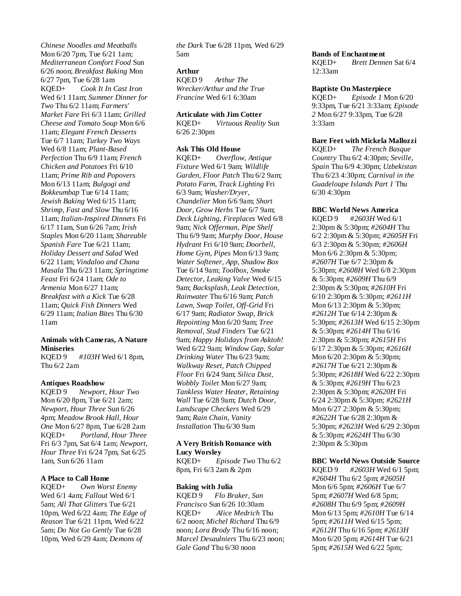*Chinese Noodles and Meatballs* Mon 6/20 7pm, Tue 6/21 1am; *Mediterranean Comfort Food* Sun 6/26 noon; *Breakfast Baking* Mon 6/27 7pm, Tue 6/28 1am KQED+ *Cook It In Cast Iron* Wed 6/1 11am; *Summer Dinner for Two* Thu 6/2 11am; *Farmers' Market Fare* Fri 6/3 11am; *Grilled Cheese and Tomato Soup* Mon 6/6 11am; *Elegant French Desserts* Tue 6/7 11am; *Turkey Two Ways* Wed 6/8 11am; *Plant-Based Perfection* Thu 6/9 11am; *French Chicken and Potatoes* Fri 6/10 11am; *Prime Rib and Popovers* Mon 6/13 11am; *Bulgogi and Bokkeumbap* Tue 6/14 11am; *Jewish Baking* Wed 6/15 11am; *Shrimp, Fast and Slow* Thu 6/16 11am; *Italian-Inspired Dinners* Fri 6/17 11am, Sun 6/26 7am; *Irish Staples* Mon 6/20 11am; *Shareable Spanish Fare* Tue 6/21 11am; *Holiday Dessert and Salad* Wed 6/22 11am; *Vindaloo and Chana Masala* Thu 6/23 11am; *Springtime Feast* Fri 6/24 11am; *Ode to Armenia* Mon 6/27 11am; *Breakfast with a Kick* Tue 6/28 11am; *Quick Fish Dinners* Wed 6/29 11am; *Italian Bites* Thu 6/30 11am

# **Animals with Cameras, A Nature Miniseries**

KQED 9 *#103H* Wed 6/1 8pm, Thu 6/2 2am

### **Antiques Roadshow**

KQED 9 *Newport, Hour Two* Mon 6/20 8pm, Tue 6/21 2am; *Newport, Hour Three* Sun 6/26 4pm; *Meadow Brook Hall, Hour One* Mon 6/27 8pm, Tue 6/28 2am KQED+ *Portland, Hour Three* Fri 6/3 7pm, Sat 6/4 1am; *Newport, Hour Three* Fri 6/24 7pm, Sat 6/25 1am, Sun 6/26 11am

# **A Place to Call Home**

KQED+ *Own Worst Enemy* Wed 6/1 4am; *Fallout* Wed 6/1 5am; *All That Glitters* Tue 6/21 10pm, Wed 6/22 4am; *The Edge of Reason* Tue 6/21 11pm, Wed 6/22 5am; *Do Not Go Gently* Tue 6/28 10pm, Wed 6/29 4am; *Demons of* 

*the Dark* Tue 6/28 11pm, Wed 6/29 5am

# **Arthur**

KQED 9 *Arthur The Wrecker/Arthur and the True Francine* Wed 6/1 6:30am

### **Articulate with Jim Cotter**

KQED+ *Virtuous Reality* Sun 6/26 2:30pm

# **Ask This Old House**

KQED+ *Overflow, Antique Fixture* Wed 6/1 9am; *Wildlife Garden, Floor Patch* Thu 6/2 9am; *Potato Farm, Track Lighting* Fri 6/3 9am; *Washer/Dryer, Chandelier* Mon 6/6 9am; *Short Door, Grow Herbs* Tue 6/7 9am; *Deck Lighting, Fireplaces* Wed 6/8 9am; *Nick Offerman, Pipe Shelf* Thu 6/9 9am; *Murphy Door, House Hydrant* Fri 6/10 9am; *Doorbell, Home Gym, Pipes* Mon 6/13 9am; *Water Softener, App, Shadow Box* Tue 6/14 9am; *Toolbox, Smoke Detector, Leaking Valve* Wed 6/15 9am; *Backsplash, Leak Detection, Rainwater* Thu 6/16 9am; *Patch Lawn, Swap Toilet, Off-Grid* Fri 6/17 9am; *Radiator Swap, Brick Repointing* Mon 6/20 9am; *Tree Removal, Stud Finders* Tue 6/21 9am; *Happy Holidays from Asktoh!* Wed 6/22 9am; *Window Gap, Solar Drinking Water* Thu 6/23 9am; *Walkway Reset, Patch Chipped Floor* Fri 6/24 9am; *Silica Dust, Wobbly Toilet* Mon 6/27 9am; *Tankless Water Heater, Retaining Wall* Tue 6/28 9am; *Dutch Door, Landscape Checkers* Wed 6/29 9am; *Rain Chain, Vanity Installation* Thu 6/30 9am

### **A Very British Romance with Lucy Worsley**

KQED+ *Episode Two* Thu 6/2 8pm, Fri 6/3 2am & 2pm

# **Baking with Julia**

KQED 9 *Flo Braker, San Francisco* Sun 6/26 10:30am KQED+ *Alice Medrich* Thu 6/2 noon; *Michel Richard* Thu 6/9 noon; *Lora Brody* Thu 6/16 noon; *Marcel Desaulniers* Thu 6/23 noon; *Gale Gand* Thu 6/30 noon

### **Bands of Enchantment**

KQED+ *Brett Dennen* Sat 6/4 12:33am

### **Baptiste On Masterpiece**

KQED+ *Episode 1* Mon 6/20 9:33pm, Tue 6/21 3:33am; *Episode 2* Mon 6/27 9:33pm, Tue 6/28 3:33am

### **Bare Feet with Mickela Mallozzi**

KQED+ *The French Basque Country* Thu 6/2 4:30pm; *Seville, Spain* Thu 6/9 4:30pm; *Uzbekistan* Thu 6/23 4:30pm; *Carnival in the Guadeloupe Islands Part 1* Thu 6/30 4:30pm

### **BBC World News America**

KQED 9 *#2603H* Wed 6/1 2:30pm & 5:30pm; *#2604H* Thu 6/2 2:30pm & 5:30pm; *#2605H* Fri 6/3 2:30pm & 5:30pm; *#2606H* Mon 6/6 2:30pm & 5:30pm; *#2607H* Tue 6/7 2:30pm & 5:30pm; *#2608H* Wed 6/8 2:30pm & 5:30pm; *#2609H* Thu 6/9 2:30pm & 5:30pm; *#2610H* Fri 6/10 2:30pm & 5:30pm; *#2611H* Mon 6/13 2:30pm & 5:30pm; *#2612H* Tue 6/14 2:30pm & 5:30pm; *#2613H* Wed 6/15 2:30pm & 5:30pm; *#2614H* Thu 6/16 2:30pm & 5:30pm; *#2615H* Fri 6/17 2:30pm & 5:30pm; *#2616H* Mon 6/20 2:30pm & 5:30pm; *#2617H* Tue 6/21 2:30pm & 5:30pm; *#2618H* Wed 6/22 2:30pm & 5:30pm; *#2619H* Thu 6/23 2:30pm & 5:30pm; *#2620H* Fri 6/24 2:30pm & 5:30pm; *#2621H* Mon 6/27 2:30pm & 5:30pm; *#2622H* Tue 6/28 2:30pm & 5:30pm; *#2623H* Wed 6/29 2:30pm & 5:30pm; *#2624H* Thu 6/30 2:30pm & 5:30pm

### **BBC World News Outside Source**

KQED 9 *#2603H* Wed 6/1 5pm; *#2604H* Thu 6/2 5pm; *#2605H* Mon 6/6 5pm; *#2606H* Tue 6/7 5pm; *#2607H* Wed 6/8 5pm; *#2608H* Thu 6/9 5pm; *#2609H* Mon 6/13 5pm; *#2610H* Tue 6/14 5pm; *#2611H* Wed 6/15 5pm; *#2612H* Thu 6/16 5pm; *#2613H* Mon 6/20 5pm; *#2614H* Tue 6/21 5pm; *#2615H* Wed 6/22 5pm;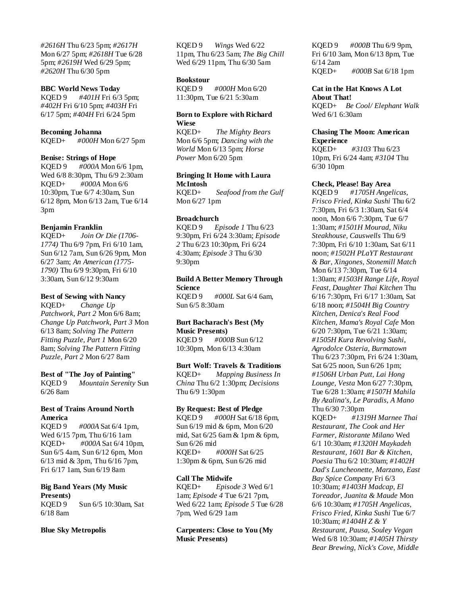*#2616H* Thu 6/23 5pm; *#2617H* Mon 6/27 5pm; *#2618H* Tue 6/28 5pm; *#2619H* Wed 6/29 5pm; *#2620H* Thu 6/30 5pm

### **BBC World News Today**

KQED 9 *#401H* Fri 6/3 5pm; *#402H* Fri 6/10 5pm; *#403H* Fri 6/17 5pm; *#404H* Fri 6/24 5pm

#### **Becoming Johanna**

KQED+ *#000H* Mon 6/27 5pm

### **Benise: Strings of Hope**

KQED 9 *#000A* Mon 6/6 1pm, Wed 6/8 8:30pm, Thu 6/9 2:30am KQED+ *#000A* Mon 6/6 10:30pm, Tue 6/7 4:30am, Sun 6/12 8pm, Mon 6/13 2am, Tue 6/14 3pm

### **Benjamin Franklin**

KQED+ *Join Or Die (1706- 1774)* Thu 6/9 7pm, Fri 6/10 1am, Sun 6/12 7am, Sun 6/26 9pm, Mon 6/27 3am; *An American (1775- 1790)* Thu 6/9 9:30pm, Fri 6/10 3:30am, Sun 6/12 9:30am

#### **Best of Sewing with Nancy**

KQED+ *Change Up Patchwork, Part 2* Mon 6/6 8am; *Change Up Patchwork, Part 3* Mon 6/13 8am; *Solving The Pattern Fitting Puzzle, Part 1* Mon 6/20 8am; *Solving The Pattern Fitting Puzzle, Part 2* Mon 6/27 8am

#### **Best of "The Joy of Painting"**

KQED 9 *Mountain Serenity* Sun 6/26 8am

# **Best of Trains Around North America**

KQED 9 *#000A* Sat 6/4 1pm, Wed 6/15 7pm, Thu 6/16 1am KQED+ *#000A* Sat 6/4 10pm, Sun 6/5 4am, Sun 6/12 6pm, Mon 6/13 mid & 3pm, Thu 6/16 7pm, Fri 6/17 1am, Sun 6/19 8am

**Big Band Years (My Music Presents)** KQED 9 Sun 6/5 10:30am, Sat 6/18 8am

#### **Blue Sky Metropolis**

KQED 9 *Wings* Wed 6/22 11pm, Thu 6/23 5am; *The Big Chill* Wed 6/29 11pm, Thu 6/30 5am

#### **Bookstour**

KQED 9 *#000H* Mon 6/20 11:30pm, Tue 6/21 5:30am

# **Born to Explore with Richard Wiese**

KQED+ *The Mighty Bears* Mon 6/6 5pm; *Dancing with the World* Mon 6/13 5pm; *Horse Power* Mon 6/20 5pm

### **Bringing It Home with Laura McIntosh**

KQED+ *Seafood from the Gulf* Mon 6/27 1pm

### **Broadchurch**

KQED 9 *Episode 1* Thu 6/23 9:30pm, Fri 6/24 3:30am; *Episode 2* Thu 6/23 10:30pm, Fri 6/24 4:30am; *Episode 3* Thu 6/30 9:30pm

# **Build A Better Memory Through Science**

KQED 9 *#000L* Sat 6/4 6am, Sun 6/5 8:30am

### **Burt Bacharach's Best (My Music Presents)**

KQED 9 *#000B* Sun 6/12 10:30pm, Mon 6/13 4:30am

# **Burt Wolf: Travels & Traditions**

KQED+ *Mapping Business In China* Thu 6/2 1:30pm; *Decisions* Thu 6/9 1:30pm

### **By Request: Best of Pledge**

KQED 9 *#000H* Sat 6/18 6pm, Sun 6/19 mid & 6pm, Mon 6/20 mid, Sat 6/25 6am & 1pm & 6pm, Sun 6/26 mid KQED+ *#000H* Sat 6/25 1:30pm & 6pm, Sun 6/26 mid

### **Call The Midwife**

KQED+ *Episode 3* Wed 6/1 1am; *Episode 4* Tue 6/21 7pm, Wed 6/22 1am; *Episode 5* Tue 6/28 7pm, Wed 6/29 1am

**Carpenters: Close to You (My Music Presents)**

KQED 9 *#000B* Thu 6/9 9pm, Fri 6/10 3am, Mon 6/13 8pm, Tue 6/14 2am KQED+ *#000B* Sat 6/18 1pm

**Cat in the Hat Knows A Lot About That!** KQED+ *Be Cool/ Elephant Walk* Wed 6/1 6:30am

### **Chasing The Moon: American Experience**

KQED+ *#3103* Thu 6/23 10pm, Fri 6/24 4am; *#3104* Thu 6/30 10pm

#### **Check, Please! Bay Area**

KQED 9 *#1705H Angelicas, Frisco Fried, Kinka Sushi* Thu 6/2 7:30pm, Fri 6/3 1:30am, Sat 6/4 noon, Mon 6/6 7:30pm, Tue 6/7 1:30am; *#1501H Mourad, Niku Steakhouse, Causwells* Thu 6/9 7:30pm, Fri 6/10 1:30am, Sat 6/11 noon; *#1502H PLaYT Restaurant & Bar, Xingones, Stonemill Match* Mon 6/13 7:30pm, Tue 6/14 1:30am; *#1503H Range Life, Royal Feast, Daughter Thai Kitchen* Thu 6/16 7:30pm, Fri 6/17 1:30am, Sat 6/18 noon; *#1504H Big Country Kitchen, Denica's Real Food Kitchen, Mama's Royal Cafe* Mon 6/20 7:30pm, Tue 6/21 1:30am; *#1505H Kura Revolving Sushi, Agrodolce Osteria, Burmatown* Thu 6/23 7:30pm, Fri 6/24 1:30am, Sat 6/25 noon, Sun 6/26 1pm; *#1506H Urban Putt, Lai Hong Lounge, Vesta* Mon 6/27 7:30pm, Tue 6/28 1:30am; *#1507H Mahila By Azalina's, Le Paradis, A Mano* Thu 6/30 7:30pm KQED+ *#1319H Marnee Thai Restaurant, The Cook and Her Farmer, Ristorante Milano* Wed 6/1 10:30am; *#1320H Maykadeh* 

*Restaurant, 1601 Bar & Kitchen, Poesia* Thu 6/2 10:30am; *#1402H Dad's Luncheonette, Marzano, East Bay Spice Company* Fri 6/3 10:30am; *#1403H Madcap, El Toreador, Juanita & Maude* Mon 6/6 10:30am; *#1705H Angelicas, Frisco Fried, Kinka Sushi* Tue 6/7 10:30am; *#1404H Z & Y Restaurant, Pausa, Souley Vegan* Wed 6/8 10:30am; *#1405H Thirsty Bear Brewing, Nick's Cove, Middle*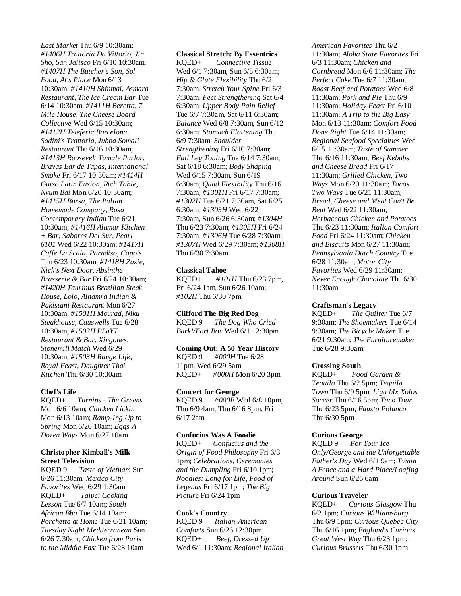*East Market* Thu 6/9 10:30am; *#1406H Trattoria Da Vittorio, Jin Sho, San Jalisco* Fri 6/10 10:30am; *#1407H The Butcher's Son, Sol Food, Al's Place* Mon 6/13 10:30am; *#1410H Shinmai, Asmara Restaurant, The Ice Cream Bar* Tue 6/14 10:30am; *#1411H Beretta, 7 Mile House, The Cheese Board Collective* Wed 6/15 10:30am; *#1412H Teleferic Barcelona, Sodini's Trattoria, Jubba Somali Restaurant* Thu 6/16 10:30am; *#1413H Roosevelt Tamale Parlor, Bravas Bar de Tapas, International Smoke* Fri 6/17 10:30am; *#1414H Guiso Latin Fusion, Rich Table, Nyum Bai* Mon 6/20 10:30am; *#1415H Bursa, The Italian Homemade Company, Rasa Contemporary Indian* Tue 6/21 10:30am; *#1416H Alamar Kitchen + Bar, Sabores Del Sur, Pearl 6101* Wed 6/22 10:30am; *#1417H Caffe La Scala, Paradiso, Capo's* Thu 6/23 10:30am; *#1418H Zazie, Nick's Next Door, Absinthe Brasserie & Bar* Fri 6/24 10:30am; *#1420H Taurinus Brazilian Steak House, Lolo, Alhamra Indian & Pakistani Restaurant* Mon 6/27 10:30am; *#1501H Mourad, Niku Steakhouse, Causwells* Tue 6/28 10:30am; *#1502H PLaYT Restaurant & Bar, Xingones, Stonemill Match* Wed 6/29 10:30am; *#1503H Range Life, Royal Feast, Daughter Thai Kitchen* Thu 6/30 10:30am

### **Chef's Life**

KQED+ *Turnips - The Greens* Mon 6/6 10am; *Chicken Lickin* Mon 6/13 10am; *Ramp-Ing Up to Spring* Mon 6/20 10am; *Eggs A Dozen Ways* Mon 6/27 10am

### **Christopher Kimball's Milk Street Television**

KQED 9 *Taste of Vietnam* Sun 6/26 11:30am; *Mexico City Favorites* Wed 6/29 1:30am KQED+ *Taipei Cooking Lesson* Tue 6/7 10am; *South African Bbq* Tue 6/14 10am; *Porchetta at Home* Tue 6/21 10am; *Tuesday Night Mediterranean* Sun 6/26 7:30am; *Chicken from Paris to the Middle East* Tue 6/28 10am

**Classical Stretch: By Essentrics** KQED+ *Connective Tissue* Wed 6/1 7:30am, Sun 6/5 6:30am; *Hip & Glute Flexibility* Thu 6/2 7:30am; *Stretch Your Spine* Fri 6/3 7:30am; *Feet Strengthening* Sat 6/4 6:30am; *Upper Body Pain Relief* Tue 6/7 7:30am, Sat 6/11 6:30am; *Balance* Wed 6/8 7:30am, Sun 6/12 6:30am; *Stomach Flattening* Thu 6/9 7:30am; *Shoulder Strengthening* Fri 6/10 7:30am; *Full Leg Toning* Tue 6/14 7:30am, Sat 6/18 6:30am; *Body Shaping* Wed 6/15 7:30am, Sun 6/19 6:30am; *Quad Flexibility* Thu 6/16 7:30am; *#1301H* Fri 6/17 7:30am; *#1302H* Tue 6/21 7:30am, Sat 6/25 6:30am; *#1303H* Wed 6/22 7:30am, Sun 6/26 6:30am; *#1304H* Thu 6/23 7:30am; *#1305H* Fri 6/24 7:30am; *#1306H* Tue 6/28 7:30am; *#1307H* Wed 6/29 7:30am; *#1308H* Thu 6/30 7:30am

### **Classical Tahoe**

KQED+ *#101H* Thu 6/23 7pm, Fri 6/24 1am, Sun 6/26 10am; *#102H* Thu 6/30 7pm

### **Clifford The Big Red Dog**

KQED 9 *The Dog Who Cried Bark!/Fort Box* Wed 6/1 12:30pm

### **Coming Out: A 50 Year History**

KQED 9 *#000H* Tue 6/28 11pm, Wed 6/29 5am KQED+ *#000H* Mon 6/20 3pm

## **Concert for George**

KQED 9 *#000B* Wed 6/8 10pm, Thu 6/9 4am, Thu 6/16 8pm, Fri 6/17 2am

# **Confucius Was A Foodie**

KQED+ *Confucius and the Origin of Food Philosophy* Fri 6/3 1pm; *Celebrations, Ceremonies and the Dumpling* Fri 6/10 1pm; *Noodles: Long for Life, Food of Legends* Fri 6/17 1pm; *The Big Picture* Fri 6/24 1pm

#### **Cook's Country**

KQED 9 *Italian-American Comforts* Sun 6/26 12:30pm KQED+ *Beef, Dressed Up* Wed 6/1 11:30am; *Regional Italian*  *American Favorites* Thu 6/2 11:30am; *Aloha State Favorites* Fri 6/3 11:30am; *Chicken and Cornbread* Mon 6/6 11:30am; *The Perfect Cake* Tue 6/7 11:30am; *Roast Beef and Potatoes* Wed 6/8 11:30am; *Pork and Pie* Thu 6/9 11:30am; *Holiday Feast* Fri 6/10 11:30am; *A Trip to the Big Easy* Mon 6/13 11:30am; *Comfort Food Done Right* Tue 6/14 11:30am; *Regional Seafood Specialties* Wed 6/15 11:30am; *Taste of Summer* Thu 6/16 11:30am; *Beef Kebabs and Cheese Bread* Fri 6/17 11:30am; *Grilled Chicken, Two Ways* Mon 6/20 11:30am; *Tacos Two Ways* Tue 6/21 11:30am; *Bread, Cheese and Meat Can't Be Beat* Wed 6/22 11:30am; *Herbaceous Chicken and Potatoes* Thu 6/23 11:30am; *Italian Comfort Food* Fri 6/24 11:30am; *Chicken and Biscuits* Mon 6/27 11:30am; *Pennsylvania Dutch Country* Tue 6/28 11:30am; *Motor City Favorites* Wed 6/29 11:30am; *Never Enough Chocolate* Thu 6/30 11:30am

#### **Craftsman's Legacy**

KQED+ *The Quilter* Tue 6/7 9:30am; *The Shoemakers* Tue 6/14 9:30am; *The Bicycle Maker* Tue 6/21 9:30am; *The Furnituremaker* Tue 6/28 9:30am

#### **Crossing South**

KQED+ *Food Garden & Tequila* Thu 6/2 5pm; *Tequila Town* Thu 6/9 5pm; *Liga Mx Xolos Soccer* Thu 6/16 5pm; *Taco Tour* Thu 6/23 5pm; *Fausto Polanco* Thu 6/30 5pm

#### **Curious George**

KQED 9 *For Your Ice Only/George and the Unforgettable Father's Day* Wed 6/1 9am; *Twain A Fence and a Hard Place/Loafing Around* Sun 6/26 6am

### **Curious Traveler**

KQED+ *Curious Glasgow* Thu 6/2 1pm; *Curious Williamsburg* Thu 6/9 1pm; *Curious Quebec City* Thu 6/16 1pm; *England's Curious Great West Way* Thu 6/23 1pm; *Curious Brussels* Thu 6/30 1pm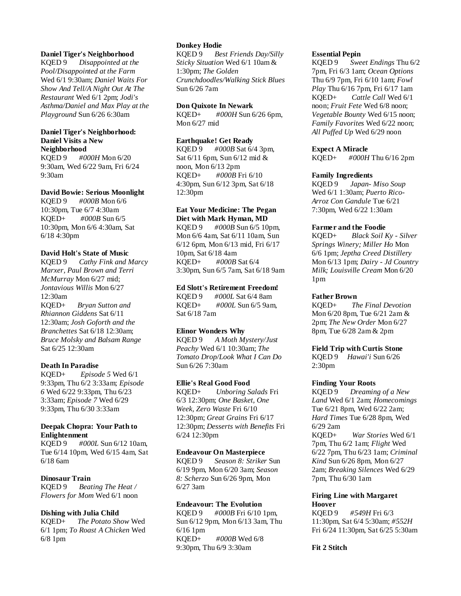# **Daniel Tiger's Neighborhood**

KQED 9 *Disappointed at the Pool/Disappointed at the Farm* Wed 6/1 9:30am; *Daniel Waits For Show And Tell/A Night Out At The Restaurant* Wed 6/1 2pm; *Jodi's Asthma/Daniel and Max Play at the Playground* Sun 6/26 6:30am

# **Daniel Tiger's Neighborhood: Daniel Visits a New Neighborhood**

KQED 9 *#000H* Mon 6/20 9:30am, Wed 6/22 9am, Fri 6/24 9:30am

# **David Bowie: Serious Moonlight**

KQED 9 *#000B* Mon 6/6 10:30pm, Tue 6/7 4:30am KQED+ *#000B* Sun 6/5 10:30pm, Mon 6/6 4:30am, Sat 6/18 4:30pm

# **David Holt's State of Music**

KQED 9 *Cathy Fink and Marcy Marxer, Paul Brown and Terri McMurray* Mon 6/27 mid; *Jontavious Willis* Mon 6/27 12:30am KQED+ *Bryan Sutton and Rhiannon Giddens* Sat 6/11 12:30am; *Josh Goforth and the Branchettes* Sat 6/18 12:30am; *Bruce Molsky and Balsam Range* Sat 6/25 12:30am

### **Death In Paradise**

KQED+ *Episode 5* Wed 6/1 9:33pm, Thu 6/2 3:33am; *Episode 6* Wed 6/22 9:33pm, Thu 6/23 3:33am; *Episode 7* Wed 6/29 9:33pm, Thu 6/30 3:33am

# **Deepak Chopra: Your Path to Enlightenment**

KQED 9 *#000L* Sun 6/12 10am, Tue 6/14 10pm, Wed 6/15 4am, Sat 6/18 6am

# **Dinosaur Train**

KQED 9 *Beating The Heat / Flowers for Mom* Wed 6/1 noon

## **Dishing with Julia Child**

KQED+ *The Potato Show* Wed 6/1 1pm; *To Roast A Chicken* Wed 6/8 1pm

# **Donkey Hodie**

KQED 9 *Best Friends Day/Silly Sticky Situation* Wed 6/1 10am & 1:30pm; *The Golden Crunchdoodles/Walking Stick Blues* Sun 6/26 7am

### **Don Quixote In Newark**

KQED+ *#000H* Sun 6/26 6pm, Mon 6/27 mid

# **Earthquake! Get Ready**

KQED 9 *#000B* Sat 6/4 3pm, Sat 6/11 6pm, Sun 6/12 mid & noon, Mon 6/13 2pm KQED+ *#000B* Fri 6/10 4:30pm, Sun 6/12 3pm, Sat 6/18 12:30pm

### **Eat Your Medicine: The Pegan Diet with Mark Hyman, MD**

KQED 9 *#000B* Sun 6/5 10pm, Mon 6/6 4am, Sat 6/11 10am, Sun 6/12 6pm, Mon 6/13 mid, Fri 6/17 10pm, Sat 6/18 4am KQED+ *#000B* Sat 6/4 3:30pm, Sun 6/5 7am, Sat 6/18 9am

# **Ed Slott's Retirement Freedom!**

KQED 9 *#000L* Sat 6/4 8am KQED+ *#000L* Sun 6/5 9am, Sat 6/18 7am

# **Elinor Wonders Why**

KQED 9 *A Moth Mystery/Just Peachy* Wed 6/1 10:30am; *The Tomato Drop/Look What I Can Do* Sun 6/26 7:30am

# **Ellie's Real Good Food**

KQED+ *Unboring Salads* Fri 6/3 12:30pm; *One Basket, One Week, Zero Waste* Fri 6/10 12:30pm; *Great Grains* Fri 6/17 12:30pm; *Desserts with Benefits* Fri 6/24 12:30pm

### **Endeavour On Masterpiece**

KQED 9 *Season 8: Striker* Sun 6/19 9pm, Mon 6/20 3am; *Season 8: Scherzo* Sun 6/26 9pm, Mon 6/27 3am

# **Endeavour: The Evolution**

KQED 9 *#000B* Fri 6/10 1pm, Sun 6/12 9pm, Mon 6/13 3am, Thu 6/16 1pm KQED+ *#000B* Wed 6/8 9:30pm, Thu 6/9 3:30am

### **Essential Pepin**

KQED 9 *Sweet Endings* Thu 6/2 7pm, Fri 6/3 1am; *Ocean Options* Thu 6/9 7pm, Fri 6/10 1am; *Fowl Play* Thu 6/16 7pm, Fri 6/17 1am KQED+ *Cattle Call* Wed 6/1 noon; *Fruit Fete* Wed 6/8 noon; *Vegetable Bounty* Wed 6/15 noon; *Family Favorites* Wed 6/22 noon; *All Puffed Up* Wed 6/29 noon

## **Expect A Miracle**

KQED+ *#000H* Thu 6/16 2pm

### **Family Ingredients**

KQED 9 *Japan- Miso Soup* Wed 6/1 1:30am; *Puerto Rico-Arroz Con Gandule* Tue 6/21 7:30pm, Wed 6/22 1:30am

## **Farmer and the Foodie**

KQED+ *Black Soil Ky - Silver Springs Winery; Miller Ho* Mon 6/6 1pm; *Jeptha Creed Distillery* Mon 6/13 1pm; *Dairy - Jd Country Milk; Louisville Cream* Mon 6/20 1pm

## **Father Brown**

KQED+ *The Final Devotion* Mon 6/20 8pm, Tue 6/21 2am & 2pm; *The New Order* Mon 6/27 8pm, Tue 6/28 2am & 2pm

# **Field Trip with Curtis Stone**

KQED 9 *Hawai'i* Sun 6/26 2:30pm

### **Finding Your Roots**

KQED 9 *Dreaming of a New Land* Wed 6/1 2am; *Homecomings* Tue 6/21 8pm, Wed 6/22 2am; *Hard Times* Tue 6/28 8pm, Wed 6/29 2am KQED+ *War Stories* Wed 6/1 7pm, Thu 6/2 1am; *Flight* Wed 6/22 7pm, Thu 6/23 1am; *Criminal Kind* Sun 6/26 8pm, Mon 6/27 2am; *Breaking Silences* Wed 6/29 7pm, Thu 6/30 1am

## **Firing Line with Margaret Hoover**

KQED 9 *#549H* Fri 6/3 11:30pm, Sat 6/4 5:30am; *#552H* Fri 6/24 11:30pm, Sat 6/25 5:30am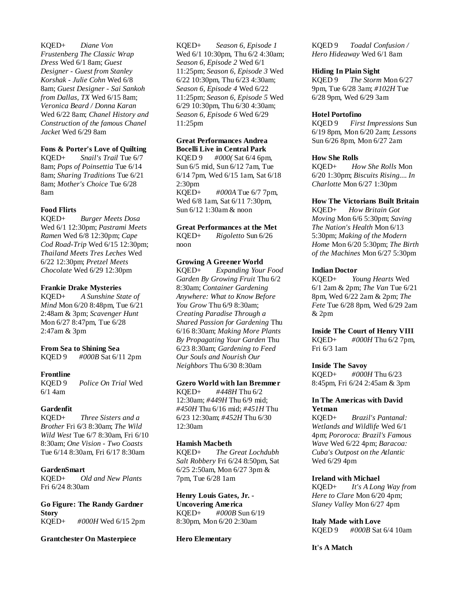KQED+ *Diane Von Frustenberg The Classic Wrap Dress* Wed 6/1 8am; *Guest Designer - Guest from Stanley Korshak - Julie Cohn* Wed 6/8 8am; *Guest Designer - Sai Sankoh from Dallas, TX* Wed 6/15 8am; *Veronica Beard / Donna Karan* Wed 6/22 8am; *Chanel History and Construction of the famous Chanel Jacket* Wed 6/29 8am

# **Fons & Porter's Love of Quilting**

KQED+ *Snail's Trail* Tue 6/7 8am; *Pops of Poinsettia* Tue 6/14 8am; *Sharing Traditions* Tue 6/21 8am; *Mother's Choice* Tue 6/28 8am

### **Food Flirts**

KQED+ *Burger Meets Dosa* Wed 6/1 12:30pm; *Pastrami Meets Ramen* Wed 6/8 12:30pm; *Cape Cod Road-Trip* Wed 6/15 12:30pm; *Thailand Meets Tres Leches* Wed 6/22 12:30pm; *Pretzel Meets Chocolate* Wed 6/29 12:30pm

### **Frankie Drake Mysteries**

KQED+ *A Sunshine State of Mind* Mon 6/20 8:48pm, Tue 6/21 2:48am & 3pm; *Scavenger Hunt* Mon 6/27 8:47pm, Tue 6/28 2:47am & 3pm

### **From Sea to Shining Sea**

KQED 9 *#000B* Sat 6/11 2pm

#### **Frontline**

KQED 9 *Police On Trial* Wed 6/1 4am

### **Gardenfit**

KQED+ *Three Sisters and a Brother* Fri 6/3 8:30am; *The Wild Wild West* Tue 6/7 8:30am, Fri 6/10 8:30am; *One Vision - Two Coasts* Tue 6/14 8:30am, Fri 6/17 8:30am

# **GardenSmart**

KQED+ *Old and New Plants* Fri 6/24 8:30am

**Go Figure: The Randy Gardner Story** KQED+ *#000H* Wed 6/15 2pm

#### **Grantchester On Masterpiece**

KQED+ *Season 6, Episode 1* Wed 6/1 10:30pm, Thu 6/2 4:30am; *Season 6, Episode 2* Wed 6/1 11:25pm; *Season 6, Episode 3* Wed 6/22 10:30pm, Thu 6/23 4:30am; *Season 6, Episode 4* Wed 6/22 11:25pm; *Season 6, Episode 5* Wed 6/29 10:30pm, Thu 6/30 4:30am; *Season 6, Episode 6* Wed 6/29 11:25pm

#### **Great Performances Andrea Bocelli Live in Central Park**

KQED 9 *#000(* Sat 6/4 6pm, Sun 6/5 mid, Sun 6/12 7am, Tue 6/14 7pm, Wed 6/15 1am, Sat 6/18 2:30pm KQED+ *#000A* Tue 6/7 7pm, Wed 6/8 1am, Sat 6/11 7:30pm,

Sun 6/12 1:30am & noon

# **Great Performances at the Met**

KQED+ *Rigoletto* Sun 6/26 noon

# **Growing A Greener World**

KQED+ *Expanding Your Food Garden By Growing Fruit* Thu 6/2 8:30am; *Container Gardening Anywhere: What to Know Before You Grow* Thu 6/9 8:30am; *Creating Paradise Through a Shared Passion for Gardening* Thu 6/16 8:30am; *Making More Plants By Propagating Your Garden* Thu 6/23 8:30am; *Gardening to Feed Our Souls and Nourish Our Neighbors* Thu 6/30 8:30am

#### **Gzero World with Ian Bremmer**

KQED+ *#448H* Thu 6/2 12:30am; *#449H* Thu 6/9 mid; *#450H* Thu 6/16 mid; *#451H* Thu 6/23 12:30am; *#452H* Thu 6/30 12:30am

# **Hamish Macbeth**

KQED+ *The Great Lochdubh Salt Robbery* Fri 6/24 8:50pm, Sat 6/25 2:50am, Mon 6/27 3pm & 7pm, Tue 6/28 1am

# **Henry Louis Gates, Jr. - Uncovering America**

KQED+ *#000B* Sun 6/19 8:30pm, Mon 6/20 2:30am

#### **Hero Elementary**

KQED 9 *Toadal Confusion / Hero Hideaway* Wed 6/1 8am

#### **Hiding In Plain Sight**

KQED 9 *The Storm* Mon 6/27 9pm, Tue 6/28 3am; *#102H* Tue 6/28 9pm, Wed 6/29 3am

#### **Hotel Portofino**

KQED 9 *First Impressions* Sun 6/19 8pm, Mon 6/20 2am; *Lessons* Sun 6/26 8pm, Mon 6/27 2am

#### **How She Rolls**

KQED+ *How She Rolls* Mon 6/20 1:30pm; *Biscuits Rising.... In Charlotte* Mon 6/27 1:30pm

### **How The Victorians Built Britain**

KQED+ *How Britain Got Moving* Mon 6/6 5:30pm; *Saving The Nation's Health* Mon 6/13 5:30pm; *Making of the Modern Home* Mon 6/20 5:30pm; *The Birth of the Machines* Mon 6/27 5:30pm

#### **Indian Doctor**

KQED+ *Young Hearts* Wed 6/1 2am & 2pm; *The Van* Tue 6/21 8pm, Wed 6/22 2am & 2pm; *The Fete* Tue 6/28 8pm, Wed 6/29 2am & 2pm

**Inside The Court of Henry VIII** KQED+ *#000H* Thu 6/2 7pm, Fri 6/3 1am

#### **Inside The Savoy**

KQED+ *#000H* Thu 6/23 8:45pm, Fri 6/24 2:45am & 3pm

### **In The Americas with David Yetman**

KQED+ *Brazil's Pantanal: Wetlands and Wildlife* Wed 6/1 4pm; *Pororoca: Brazil's Famous Wave* Wed 6/22 4pm; *Baracoa: Cuba's Outpost on the Atlantic* Wed 6/29 4pm

#### **Ireland with Michael**

KQED+ *It's A Long Way from Here to Clare* Mon 6/20 4pm; *Slaney Valley* Mon 6/27 4pm

**Italy Made with Love** KQED 9 *#000B* Sat 6/4 10am

### **It's A Match**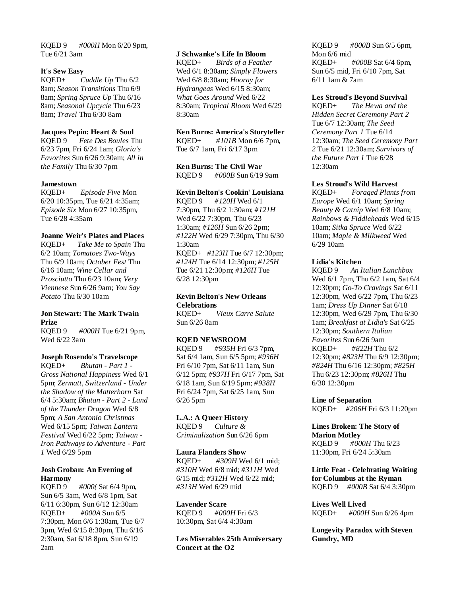KQED 9 *#000H* Mon 6/20 9pm, Tue 6/21 3am

### **It's Sew Easy**

KQED+ *Cuddle Up* Thu 6/2 8am; *Season Transitions* Thu 6/9 8am; *Spring Spruce Up* Thu 6/16 8am; *Seasonal Upcycle* Thu 6/23 8am; *Travel* Thu 6/30 8am

### **Jacques Pepin: Heart & Soul**

KQED 9 *Fete Des Boules* Thu 6/23 7pm, Fri 6/24 1am; *Gloria's Favorites* Sun 6/26 9:30am; *All in the Family* Thu 6/30 7pm

### **Jamestown**

KQED+ *Episode Five* Mon 6/20 10:35pm, Tue 6/21 4:35am; *Episode Six* Mon 6/27 10:35pm, Tue 6/28 4:35am

# **Joanne Weir's Plates and Places**

KQED+ *Take Me to Spain* Thu 6/2 10am; *Tomatoes Two-Ways* Thu 6/9 10am; *October Fest* Thu 6/16 10am; *Wine Cellar and Prosciutto* Thu 6/23 10am; *Very Viennese* Sun 6/26 9am; *You Say Potato* Thu 6/30 10am

# **Jon Stewart: The Mark Twain Prize**

KQED 9 *#000H* Tue 6/21 9pm, Wed 6/22 3am

#### **Joseph Rosendo's Travelscope**

KQED+ *Bhutan - Part 1 - Gross National Happiness* Wed 6/1 5pm; *Zermatt, Switzerland - Under the Shadow of the Matterhorn* Sat 6/4 5:30am; *Bhutan - Part 2 - Land of the Thunder Dragon* Wed 6/8 5pm; *A San Antonio Christmas* Wed 6/15 5pm; *Taiwan Lantern Festival* Wed 6/22 5pm; *Taiwan - Iron Pathways to Adventure - Part 1* Wed 6/29 5pm

### **Josh Groban: An Evening of Harmony**

KQED 9 *#000(* Sat 6/4 9pm, Sun 6/5 3am, Wed 6/8 1pm, Sat 6/11 6:30pm, Sun 6/12 12:30am KQED+ *#000A* Sun 6/5 7:30pm, Mon 6/6 1:30am, Tue 6/7 3pm, Wed 6/15 8:30pm, Thu 6/16 2:30am, Sat 6/18 8pm, Sun 6/19 2am

### **J Schwanke's Life In Bloom**

KQED+ *Birds of a Feather* Wed 6/1 8:30am; *Simply Flowers* Wed 6/8 8:30am; *Hooray for Hydrangeas* Wed 6/15 8:30am; *What Goes Around* Wed 6/22 8:30am; *Tropical Bloom* Wed 6/29 8:30am

# **Ken Burns: America's Storyteller**

KQED+ *#101B* Mon 6/6 7pm, Tue 6/7 1am, Fri 6/17 3pm

**Ken Burns: The Civil War** KQED 9 *#000B* Sun 6/19 9am

# **Kevin Belton's Cookin' Louisiana**

KQED 9 *#120H* Wed 6/1 7:30pm, Thu 6/2 1:30am; *#121H* Wed 6/22 7:30pm, Thu 6/23 1:30am; *#126H* Sun 6/26 2pm; *#122H* Wed 6/29 7:30pm, Thu 6/30 1:30am KQED+ *#123H* Tue 6/7 12:30pm; *#124H* Tue 6/14 12:30pm; *#125H* Tue 6/21 12:30pm; *#126H* Tue 6/28 12:30pm

#### **Kevin Belton's New Orleans Celebrations**

KQED+ *Vieux Carre Salute* Sun 6/26 8am

### **KQED NEWSROOM**

KQED 9 *#935H* Fri 6/3 7pm, Sat 6/4 1am, Sun 6/5 5pm; *#936H* Fri 6/10 7pm, Sat 6/11 1am, Sun 6/12 5pm; *#937H* Fri 6/17 7pm, Sat 6/18 1am, Sun 6/19 5pm; *#938H* Fri 6/24 7pm, Sat 6/25 1am, Sun 6/26 5pm

## **L.A.: A Queer History**

KQED 9 *Culture & Criminalization* Sun 6/26 6pm

#### **Laura Flanders Show**

KQED+ *#309H* Wed 6/1 mid; *#310H* Wed 6/8 mid; *#311H* Wed 6/15 mid; *#312H* Wed 6/22 mid; *#313H* Wed 6/29 mid

#### **Lavender Scare**

KQED 9 *#000H* Fri 6/3 10:30pm, Sat 6/4 4:30am

**Les Miserables 25th Anniversary Concert at the O2**

KQED 9 *#000B* Sun 6/5 6pm, Mon 6/6 mid KQED+ *#000B* Sat 6/4 6pm, Sun 6/5 mid, Fri 6/10 7pm, Sat 6/11 1am & 7am

#### **Les Stroud's Beyond Survival**

KQED+ *The Hewa and the Hidden Secret Ceremony Part 2* Tue 6/7 12:30am; *The Seed Ceremony Part 1* Tue 6/14 12:30am; *The Seed Ceremony Part 2* Tue 6/21 12:30am; *Survivors of the Future Part 1* Tue 6/28 12:30am

### **Les Stroud's Wild Harvest**

KQED+ *Foraged Plants from Europe* Wed 6/1 10am; *Spring Beauty & Catnip* Wed 6/8 10am; *Rainbows & Fiddleheads* Wed 6/15 10am; *Sitka Spruce* Wed 6/22 10am; *Maple & Milkweed* Wed 6/29 10am

# **Lidia's Kitchen**

KQED 9 *An Italian Lunchbox* Wed 6/1 7pm, Thu 6/2 1am, Sat 6/4 12:30pm; *Go-To Cravings* Sat 6/11 12:30pm, Wed 6/22 7pm, Thu 6/23 1am; *Dress Up Dinner* Sat 6/18 12:30pm, Wed 6/29 7pm, Thu 6/30 1am; *Breakfast at Lidia's* Sat 6/25 12:30pm; *Southern Italian Favorites* Sun 6/26 9am KQED+ *#822H* Thu 6/2 12:30pm; *#823H* Thu 6/9 12:30pm; *#824H* Thu 6/16 12:30pm; *#825H* Thu 6/23 12:30pm; *#826H* Thu 6/30 12:30pm

**Line of Separation** KQED+ *#206H* Fri 6/3 11:20pm

# **Lines Broken: The Story of Marion Motley** KQED 9 *#000H* Thu 6/23

11:30pm, Fri 6/24 5:30am

**Little Feat - Celebrating Waiting for Columbus at the Ryman** KQED 9 *#000B* Sat 6/4 3:30pm

**Lives Well Lived** KQED+ *#000H* Sun 6/26 4pm

**Longevity Paradox with Steven Gundry, MD**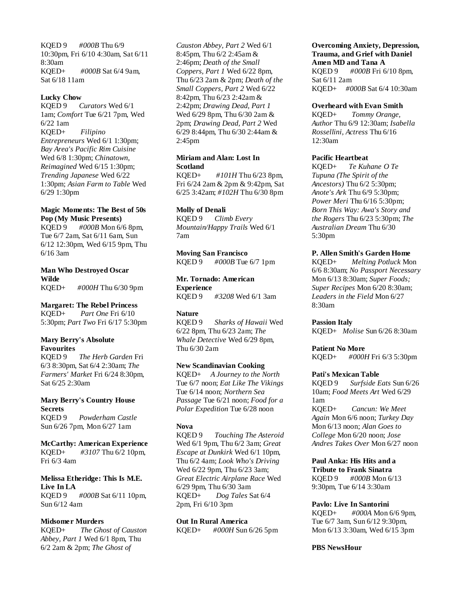KQED 9 *#000B* Thu 6/9 10:30pm, Fri 6/10 4:30am, Sat 6/11 8:30am KQED+ *#000B* Sat 6/4 9am, Sat 6/18 11am

### **Lucky Chow**

KQED 9 *Curators* Wed 6/1 1am; *Comfort* Tue 6/21 7pm, Wed 6/22 1am KQED+ *Filipino Entrepreneurs* Wed 6/1 1:30pm; *Bay Area's Pacific Rim Cuisine* Wed 6/8 1:30pm; *Chinatown, Reimagined* Wed 6/15 1:30pm; *Trending Japanese* Wed 6/22 1:30pm; *Asian Farm to Table* Wed 6/29 1:30pm

# **Magic Moments: The Best of 50s Pop (My Music Presents)**

KQED 9 *#000B* Mon 6/6 8pm, Tue 6/7 2am, Sat 6/11 6am, Sun 6/12 12:30pm, Wed 6/15 9pm, Thu 6/16 3am

### **Man Who Destroyed Oscar Wilde** KQED+ *#000H* Thu 6/30 9pm

**Margaret: The Rebel Princess** KQED+ *Part One* Fri 6/10 5:30pm; *Part Two* Fri 6/17 5:30pm

### **Mary Berry's Absolute Favourites**

KQED 9 *The Herb Garden* Fri 6/3 8:30pm, Sat 6/4 2:30am; *The Farmers' Market* Fri 6/24 8:30pm, Sat 6/25 2:30am

**Mary Berry's Country House Secrets** KQED 9 *Powderham Castle* Sun 6/26 7pm, Mon 6/27 1am

**McCarthy: American Experience** KQED+ *#3107* Thu 6/2 10pm, Fri 6/3 4am

**Melissa Etheridge: This Is M.E. Live In LA** KQED 9 *#000B* Sat 6/11 10pm, Sun 6/12 4am

### **Midsomer Murders**

KQED+ *The Ghost of Causton Abbey, Part 1* Wed 6/1 8pm, Thu 6/2 2am & 2pm; *The Ghost of* 

*Causton Abbey, Part 2* Wed 6/1 8:45pm, Thu 6/2 2:45am & 2:46pm; *Death of the Small Coppers, Part 1* Wed 6/22 8pm, Thu 6/23 2am & 2pm; *Death of the Small Coppers, Part 2* Wed 6/22 8:42pm, Thu 6/23 2:42am & 2:42pm; *Drawing Dead, Part 1* Wed 6/29 8pm, Thu 6/30 2am & 2pm; *Drawing Dead, Part 2* Wed 6/29 8:44pm, Thu 6/30 2:44am & 2:45pm

# **Miriam and Alan: Lost In Scotland**

KQED+ *#101H* Thu 6/23 8pm, Fri 6/24 2am & 2pm & 9:42pm, Sat 6/25 3:42am; *#102H* Thu 6/30 8pm

### **Molly of Denali**

KQED 9 *Climb Every Mountain/Happy Trails* Wed 6/1 7am

**Moving San Francisco** KQED 9 *#000B* Tue 6/7 1pm

**Mr. Tornado: American Experience** KQED 9 *#3208* Wed 6/1 3am

# **Nature**

KQED 9 *Sharks of Hawaii* Wed 6/22 8pm, Thu 6/23 2am; *The Whale Detective* Wed 6/29 8pm, Thu 6/30 2am

### **New Scandinavian Cooking**

KQED+ *A Journey to the North* Tue 6/7 noon; *Eat Like The Vikings* Tue 6/14 noon; *Northern Sea Passage* Tue 6/21 noon; *Food for a Polar Expedition* Tue 6/28 noon

### **Nova**

KQED 9 *Touching The Asteroid* Wed 6/1 9pm, Thu 6/2 3am; *Great Escape at Dunkirk* Wed 6/1 10pm, Thu 6/2 4am; *Look Who's Driving* Wed 6/22 9pm, Thu 6/23 3am; *Great Electric Airplane Race* Wed 6/29 9pm, Thu 6/30 3am KQED+ *Dog Tales* Sat 6/4 2pm, Fri 6/10 3pm

**Out In Rural America** KQED+ *#000H* Sun 6/26 5pm

## **Overcoming Anxiety, Depression, Trauma, and Grief with Daniel Amen MD and Tana A**

KQED 9 *#000B* Fri 6/10 8pm, Sat 6/11 2am KQED+ *#000B* Sat 6/4 10:30am

### **Overheard with Evan Smith**

KQED+ *Tommy Orange, Author* Thu 6/9 12:30am; *Isabella Rossellini, Actress* Thu 6/16 12:30am

### **Pacific Heartbeat**

KQED+ *Te Kuhane O Te Tupuna (The Spirit of the Ancestors)* Thu 6/2 5:30pm; *Anote's Ark* Thu 6/9 5:30pm; *Power Meri* Thu 6/16 5:30pm; *Born This Way: Awa's Story and the Rogers* Thu 6/23 5:30pm; *The Australian Dream* Thu 6/30 5:30pm

# **P. Allen Smith's Garden Home**

KQED+ *Melting Potluck* Mon 6/6 8:30am; *No Passport Necessary* Mon 6/13 8:30am; *Super Foods; Super Recipes* Mon 6/20 8:30am; *Leaders in the Field* Mon 6/27 8:30am

### **Passion Italy**

KQED+ *Molise* Sun 6/26 8:30am

**Patient No More**

KQED+ *#000H* Fri 6/3 5:30pm

### **Pati's Mexican Table**

KQED 9 *Surfside Eats* Sun 6/26 10am; *Food Meets Art* Wed 6/29 1am KQED+ *Cancun: We Meet Again* Mon 6/6 noon; *Turkey Day* Mon 6/13 noon; *Alan Goes to College* Mon 6/20 noon; *Jose Andres Takes Over* Mon 6/27 noon

**Paul Anka: His Hits and a Tribute to Frank Sinatra** KQED 9 *#000B* Mon 6/13 9:30pm, Tue 6/14 3:30am

### **Pavlo: Live In Santorini**

KQED+ *#000A* Mon 6/6 9pm, Tue 6/7 3am, Sun 6/12 9:30pm, Mon 6/13 3:30am, Wed 6/15 3pm

### **PBS NewsHour**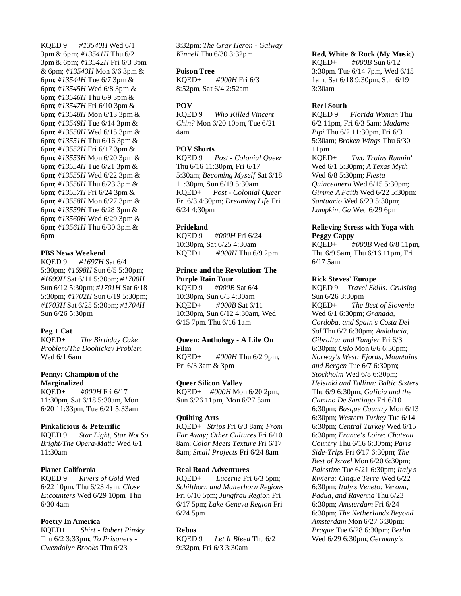KQED 9 *#13540H* Wed 6/1 3pm & 6pm; *#13541H* Thu 6/2 3pm & 6pm; *#13542H* Fri 6/3 3pm & 6pm; *#13543H* Mon 6/6 3pm & 6pm; *#13544H* Tue 6/7 3pm & 6pm; *#13545H* Wed 6/8 3pm & 6pm; *#13546H* Thu 6/9 3pm & 6pm; *#13547H* Fri 6/10 3pm & 6pm; *#13548H* Mon 6/13 3pm & 6pm; *#13549H* Tue 6/14 3pm & 6pm; *#13550H* Wed 6/15 3pm & 6pm; *#13551H* Thu 6/16 3pm & 6pm; *#13552H* Fri 6/17 3pm & 6pm; *#13553H* Mon 6/20 3pm & 6pm; *#13554H* Tue 6/21 3pm & 6pm; *#13555H* Wed 6/22 3pm & 6pm; *#13556H* Thu 6/23 3pm & 6pm; *#13557H* Fri 6/24 3pm & 6pm; *#13558H* Mon 6/27 3pm & 6pm; *#13559H* Tue 6/28 3pm & 6pm; *#13560H* Wed 6/29 3pm & 6pm; *#13561H* Thu 6/30 3pm & 6pm

# **PBS News Weekend**

KQED 9 *#1697H* Sat 6/4 5:30pm; *#1698H* Sun 6/5 5:30pm; *#1699H* Sat 6/11 5:30pm; *#1700H* Sun 6/12 5:30pm; *#1701H* Sat 6/18 5:30pm; *#1702H* Sun 6/19 5:30pm; *#1703H* Sat 6/25 5:30pm; *#1704H* Sun 6/26 5:30pm

# **Peg + Cat**

KQED+ *The Birthday Cake Problem/The Doohickey Problem* Wed 6/1 6am

# **Penny: Champion of the Marginalized**

KQED+ *#000H* Fri 6/17 11:30pm, Sat 6/18 5:30am, Mon 6/20 11:33pm, Tue 6/21 5:33am

# **Pinkalicious & Peterrific**

KQED 9 *Star Light, Star Not So Bright/The Opera-Matic* Wed 6/1 11:30am

# **Planet California**

KQED 9 *Rivers of Gold* Wed 6/22 10pm, Thu 6/23 4am; *Close Encounters* Wed 6/29 10pm, Thu 6/30 4am

# **Poetry In America**

KQED+ *Shirt - Robert Pinsky* Thu 6/2 3:33pm; *To Prisoners - Gwendolyn Brooks* Thu 6/23

3:32pm; *The Gray Heron - Galway Kinnell* Thu 6/30 3:32pm

### **Poison Tree**

KQED+ *#000H* Fri 6/3 8:52pm, Sat 6/4 2:52am

# **POV**

KQED 9 *Who Killed Vincent Chin?* Mon 6/20 10pm, Tue 6/21 4am

# **POV Shorts**

KQED 9 *Post - Colonial Queer* Thu 6/16 11:30pm, Fri 6/17 5:30am; *Becoming Myself* Sat 6/18 11:30pm, Sun 6/19 5:30am KQED+ *Post - Colonial Queer* Fri 6/3 4:30pm; *Dreaming Life* Fri 6/24 4:30pm

# **Prideland**

KQED 9 *#000H* Fri 6/24 10:30pm, Sat 6/25 4:30am KQED+ *#000H* Thu 6/9 2pm

# **Prince and the Revolution: The Purple Rain Tour**

KQED 9 *#000B* Sat 6/4 10:30pm, Sun 6/5 4:30am KQED+ *#000B* Sat 6/11 10:30pm, Sun 6/12 4:30am, Wed 6/15 7pm, Thu 6/16 1am

### **Queen: Anthology - A Life On Film**

KQED+ *#000H* Thu 6/2 9pm, Fri 6/3 3am & 3pm

# **Queer Silicon Valley**

KQED+ *#000H* Mon 6/20 2pm, Sun 6/26 11pm, Mon 6/27 5am

# **Quilting Arts**

KQED+ *Strips* Fri 6/3 8am; *From Far Away; Other Cultures* Fri 6/10 8am; *Color Meets Texture* Fri 6/17 8am; *Small Projects* Fri 6/24 8am

# **Real Road Adventures**

KQED+ *Lucerne* Fri 6/3 5pm; *Schilthorn and Matterhorn Regions* Fri 6/10 5pm; *Jungfrau Region* Fri 6/17 5pm; *Lake Geneva Region* Fri 6/24 5pm

# **Rebus**

KQED 9 *Let It Bleed* Thu 6/2 9:32pm, Fri 6/3 3:30am

# **Red, White & Rock (My Music)**

KQED+ *#000B* Sun 6/12 3:30pm, Tue 6/14 7pm, Wed 6/15 1am, Sat 6/18 9:30pm, Sun 6/19 3:30am

# **Reel South**

KQED 9 *Florida Woman* Thu 6/2 11pm, Fri 6/3 5am; *Madame Pipi* Thu 6/2 11:30pm, Fri 6/3 5:30am; *Broken Wings* Thu 6/30 11pm KQED+ *Two Trains Runnin'* Wed 6/1 5:30pm; *A Texas Myth* Wed 6/8 5:30pm; *Fiesta Quinceanera* Wed 6/15 5:30pm; *Gimme A Faith* Wed 6/22 5:30pm; *Santuario* Wed 6/29 5:30pm; *Lumpkin, Ga* Wed 6/29 6pm

# **Relieving Stress with Yoga with Peggy Cappy**

KQED+ *#000B* Wed 6/8 11pm, Thu 6/9 5am, Thu 6/16 11pm, Fri 6/17 5am

# **Rick Steves' Europe**

KQED 9 *Travel Skills: Cruising* Sun 6/26 3:30pm KQED+ *The Best of Slovenia* Wed 6/1 6:30pm; *Granada, Cordoba, and Spain's Costa Del Sol* Thu 6/2 6:30pm; *Andalucia, Gibraltar and Tangier* Fri 6/3 6:30pm; *Oslo* Mon 6/6 6:30pm; *Norway's West: Fjords, Mountains and Bergen* Tue 6/7 6:30pm; *Stockholm* Wed 6/8 6:30pm; *Helsinki and Tallinn: Baltic Sisters* Thu 6/9 6:30pm; *Galicia and the Camino De Santiago* Fri 6/10 6:30pm; *Basque Country* Mon 6/13 6:30pm; *Western Turkey* Tue 6/14 6:30pm; *Central Turkey* Wed 6/15 6:30pm; *France's Loire: Chateau Country* Thu 6/16 6:30pm; *Paris Side-Trips* Fri 6/17 6:30pm; *The Best of Israel* Mon 6/20 6:30pm; *Palestine* Tue 6/21 6:30pm; *Italy's Riviera: Cinque Terre* Wed 6/22 6:30pm; *Italy's Veneto: Verona, Padua, and Ravenna* Thu 6/23 6:30pm; *Amsterdam* Fri 6/24 6:30pm; *The Netherlands Beyond Amsterdam* Mon 6/27 6:30pm; *Prague* Tue 6/28 6:30pm; *Berlin* Wed 6/29 6:30pm; *Germany's*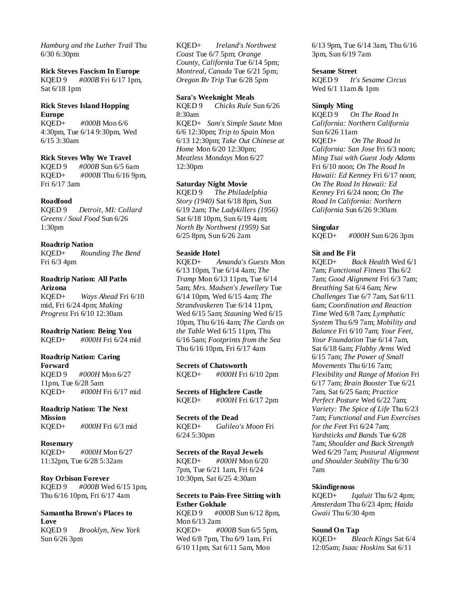*Hamburg and the Luther Trail* Thu 6/30 6:30pm

#### **Rick Steves Fascism In Europe**

KQED 9 *#000B* Fri 6/17 1pm, Sat 6/18 1pm

# **Rick Steves Island Hopping Europe**

KQED+ *#000B* Mon 6/6 4:30pm, Tue 6/14 9:30pm, Wed 6/15 3:30am

#### **Rick Steves Why We Travel**

KQED 9 *#000B* Sun 6/5 6am #000B Thu 6/16 9pm, Fri 6/17 3am

#### **Roadfood**

KQED 9 *Detroit, MI: Collard Greens / Soul Food* Sun 6/26 1:30pm

#### **Roadtrip Nation**

KQED+ *Rounding The Bend* Fri 6/3 4pm

# **Roadtrip Nation: All Paths Arizona**

KQED+ *Ways Ahead* Fri 6/10 mid, Fri 6/24 4pm; *Making Progress* Fri 6/10 12:30am

### **Roadtrip Nation: Being You**

KQED+ *#000H* Fri 6/24 mid

# **Roadtrip Nation: Caring**

**Forward** KQED 9 *#000H* Mon 6/27 11pm, Tue 6/28 5am KQED+ *#000H* Fri 6/17 mid

# **Roadtrip Nation: The Next Mission**

KQED+ *#000H* Fri 6/3 mid

# **Rosemary**

KQED+ *#000H* Mon 6/27 11:32pm, Tue 6/28 5:32am

#### **Roy Orbison Forever**

KQED 9 *#000B* Wed 6/15 1pm, Thu 6/16 10pm, Fri 6/17 4am

## **Samantha Brown's Places to Love** KQED 9 *Brooklyn, New York* Sun 6/26 3pm

KQED+ *Ireland's Northwest Coast* Tue 6/7 5pm; *Orange County, California* Tue 6/14 5pm; *Montreal, Canada* Tue 6/21 5pm; *Oregon Rv Trip* Tue 6/28 5pm

#### **Sara's Weeknight Meals**

KQED 9 *Chicks Rule* Sun 6/26 8:30am KQED+ *Sam's Simple Saute* Mon 6/6 12:30pm; *Trip to Spain* Mon 6/13 12:30pm; *Take Out Chinese at Home* Mon 6/20 12:30pm; *Meatless Mondays* Mon 6/27 12:30pm

### **Saturday Night Movie**

KQED 9 *The Philadelphia Story (1940)* Sat 6/18 8pm, Sun 6/19 2am; *The Ladykillers (1956)* Sat 6/18 10pm, Sun 6/19 4am; *North By Northwest (1959)* Sat 6/25 8pm, Sun 6/26 2am

#### **Seaside Hotel**

KQED+ *Amanda's Guests* Mon 6/13 10pm, Tue 6/14 4am; *The Tramp* Mon 6/13 11pm, Tue 6/14 5am; *Mrs. Madsen's Jewellery* Tue 6/14 10pm, Wed 6/15 4am; *The Strandvaskeren* Tue 6/14 11pm, Wed 6/15 5am; *Stauning* Wed 6/15 10pm, Thu 6/16 4am; *The Cards on the Table* Wed 6/15 11pm, Thu 6/16 5am; *Footprints from the Sea* Thu 6/16 10pm, Fri 6/17 4am

**Secrets of Chatsworth**

KQED+ *#000H* Fri 6/10 2pm

**Secrets of Highclere Castle** KQED+ *#000H* Fri 6/17 2pm

### **Secrets of the Dead**

KQED+ *Galileo's Moon* Fri 6/24 5:30pm

### **Secrets of the Royal Jewels**

KQED+ *#000H* Mon 6/20 7pm, Tue 6/21 1am, Fri 6/24 10:30pm, Sat 6/25 4:30am

# **Secrets to Pain-Free Sitting with Esther Gokhale**

KQED 9 *#000B* Sun 6/12 8pm, Mon 6/13 2am KQED+ *#000B* Sun 6/5 5pm, Wed 6/8 7pm, Thu 6/9 1am, Fri 6/10 11pm, Sat 6/11 5am, Mon

6/13 9pm, Tue 6/14 3am, Thu 6/16 3pm, Sun 6/19 7am

### **Sesame Street**

KQED 9 *It's Sesame Circus* Wed 6/1 11am & 1pm

#### **Simply Ming**

KQED 9 *On The Road In California: Northern California* Sun 6/26 11am KQED+ *On The Road In California: San Jose* Fri 6/3 noon; *Ming Tsai with Guest Jody Adams* Fri 6/10 noon; *On The Road In Hawaii: Ed Kenney* Fri 6/17 noon; *On The Road In Hawaii: Ed Kenney* Fri 6/24 noon; *On The Road In California: Northern California* Sun 6/26 9:30am

#### **Singular**

KQED+ *#000H* Sun 6/26 3pm

### **Sit and Be Fit**

KQED+ *Back Health* Wed 6/1 7am; *Functional Fitness* Thu 6/2 7am; *Good Alignment* Fri 6/3 7am; *Breathing* Sat 6/4 6am; *New Challenges* Tue 6/7 7am, Sat 6/11 6am; *Coordination and Reaction Time* Wed 6/8 7am; *Lymphatic System* Thu 6/9 7am; *Mobility and Balance* Fri 6/10 7am; *Your Feet, Your Foundation* Tue 6/14 7am, Sat 6/18 6am; *Flabby Arms* Wed 6/15 7am; *The Power of Small Movements* Thu 6/16 7am; *Flexibility and Range of Motion* Fri 6/17 7am; *Brain Booster* Tue 6/21 7am, Sat 6/25 6am; *Practice Perfect Posture* Wed 6/22 7am; *Variety: The Spice of Life* Thu 6/23 7am; *Functional and Fun Exercises for the Feet* Fri 6/24 7am; *Yardsticks and Bands* Tue 6/28 7am; *Shoulder and Back Strength* Wed 6/29 7am; *Postural Alignment and Shoulder Stability* Thu 6/30 7am

### **Skindigenous**

KQED+ *Iqaluit* Thu 6/2 4pm; *Amsterdam* Thu 6/23 4pm; *Haida Gwaii* Thu 6/30 4pm

#### **Sound On Tap**

KQED+ *Bleach Kings* Sat 6/4 12:05am; *Isaac Hoskins* Sat 6/11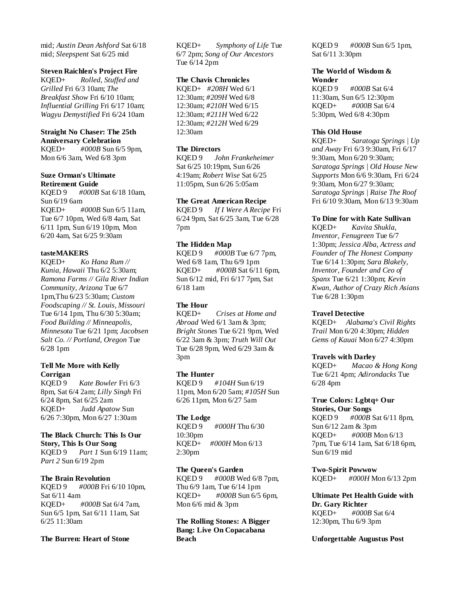mid; *Austin Dean Ashford* Sat 6/18 mid; *Sleepspent* Sat 6/25 mid

### **Steven Raichlen's Project Fire**

KQED+ *Rolled, Stuffed and Grilled* Fri 6/3 10am; *The Breakfast Show* Fri 6/10 10am; *Influential Grilling* Fri 6/17 10am; *Wagyu Demystified* Fri 6/24 10am

## **Straight No Chaser: The 25th Anniversary Celebration**

KQED+ *#000B* Sun 6/5 9pm, Mon 6/6 3am, Wed 6/8 3pm

#### **Suze Orman's Ultimate Retirement Guide**

KQED 9 *#000B* Sat 6/18 10am, Sun 6/19 6am KQED+ *#000B* Sun 6/5 11am, Tue 6/7 10pm, Wed 6/8 4am, Sat 6/11 1pm, Sun 6/19 10pm, Mon 6/20 4am, Sat 6/25 9:30am

# **tasteMAKERS**

KQED+ *Ko Hana Rum // Kunia, Hawaii* Thu 6/2 5:30am; *Ramona Farms // Gila River Indian Community, Arizona* Tue 6/7 1pm,Thu 6/23 5:30am; *Custom Foodscaping // St. Louis, Missouri* Tue 6/14 1pm, Thu 6/30 5:30am; *Food Building // Minneapolis, Minnesota* Tue 6/21 1pm; *Jacobsen Salt Co. // Portland, Oregon* Tue 6/28 1pm

# **Tell Me More with Kelly Corrigan**

KQED 9 *Kate Bowler* Fri 6/3 8pm, Sat 6/4 2am; *Lilly Singh* Fri 6/24 8pm, Sat 6/25 2am KQED+ *Judd Apatow* Sun 6/26 7:30pm, Mon 6/27 1:30am

### **The Black Church: This Is Our Story, This Is Our Song**

KQED 9 *Part 1* Sun 6/19 11am; *Part 2* Sun 6/19 2pm

#### **The Brain Revolution**

KQED 9 *#000B* Fri 6/10 10pm, Sat 6/11 4am KQED+ *#000B* Sat 6/4 7am, Sun 6/5 1pm, Sat 6/11 11am, Sat 6/25 11:30am

# **The Burren: Heart of Stone**

KQED+ *Symphony of Life* Tue 6/7 2pm; *Song of Our Ancestors* Tue 6/14 2pm

# **The Chavis Chronicles**

KQED+ *#208H* Wed 6/1 12:30am; *#209H* Wed 6/8 12:30am; *#210H* Wed 6/15 12:30am; *#211H* Wed 6/22 12:30am; *#212H* Wed 6/29 12:30am

# **The Directors**

KQED 9 *John Frankeheimer* Sat 6/25 10:19pm, Sun 6/26 4:19am; *Robert Wise* Sat 6/25 11:05pm, Sun 6/26 5:05am

### **The Great American Recipe**

KQED 9 *If I Were A Recipe* Fri 6/24 9pm, Sat 6/25 3am, Tue 6/28 7pm

# **The Hidden Map**

KQED 9 *#000B* Tue 6/7 7pm, Wed 6/8 1am, Thu 6/9 1pm KQED+ *#000B* Sat 6/11 6pm, Sun 6/12 mid, Fri 6/17 7pm, Sat 6/18 1am

#### **The Hour**

KQED+ *Crises at Home and Abroad* Wed 6/1 3am & 3pm; *Bright Stones* Tue 6/21 9pm, Wed 6/22 3am & 3pm; *Truth Will Out* Tue 6/28 9pm, Wed 6/29 3am & 3pm

#### **The Hunter**

KQED 9 *#104H* Sun 6/19 11pm, Mon 6/20 5am; *#105H* Sun 6/26 11pm, Mon 6/27 5am

#### **The Lodge**

KQED 9 *#000H* Thu 6/30 10:30pm KQED+ *#000H* Mon 6/13 2:30pm

### **The Queen's Garden**

KQED 9 *#000B* Wed 6/8 7pm, Thu 6/9 1am, Tue 6/14 1pm KQED+ *#000B* Sun 6/5 6pm, Mon 6/6 mid & 3pm

**The Rolling Stones: A Bigger Bang: Live On Copacabana Beach**

KQED 9 *#000B* Sun 6/5 1pm, Sat 6/11 3:30pm

### **The World of Wisdom & Wonder**

KQED 9 *#000B* Sat 6/4 11:30am, Sun 6/5 12:30pm KQED+ *#000B* Sat 6/4 5:30pm, Wed 6/8 4:30pm

### **This Old House**

KQED+ *Saratoga Springs | Up and Away* Fri 6/3 9:30am, Fri 6/17 9:30am, Mon 6/20 9:30am; *Saratoga Springs | Old House New Supports* Mon 6/6 9:30am, Fri 6/24 9:30am, Mon 6/27 9:30am; *Saratoga Springs | Raise The Roof* Fri 6/10 9:30am, Mon 6/13 9:30am

#### **To Dine for with Kate Sullivan**

KQED+ *Kavita Shukla, Inventor, Fenugreen* Tue 6/7 1:30pm; *Jessica Alba, Actress and Founder of The Honest Company* Tue 6/14 1:30pm; *Sara Blakely, Inventor, Founder and Ceo of Spanx* Tue 6/21 1:30pm; *Kevin Kwan, Author of Crazy Rich Asians* Tue 6/28 1:30pm

#### **Travel Detective**

KQED+ *Alabama's Civil Rights Trail* Mon 6/20 4:30pm; *Hidden Gems of Kauai* Mon 6/27 4:30pm

#### **Travels with Darley**

KQED+ *Macao & Hong Kong* Tue 6/21 4pm; *Adirondacks* Tue 6/28 4pm

#### **True Colors: Lgbtq+ Our**

**Stories, Our Songs** KQED 9 *#000B* Sat 6/11 8pm, Sun 6/12 2am & 3pm KQED+ *#000B* Mon 6/13 7pm, Tue 6/14 1am, Sat 6/18 6pm, Sun 6/19 mid

### **Two-Spirit Powwow**

KQED+ *#000H* Mon 6/13 2pm

# **Ultimate Pet Health Guide with Dr. Gary Richter** KQED+ *#000B* Sat 6/4

12:30pm, Thu 6/9 3pm

### **Unforgettable Augustus Post**